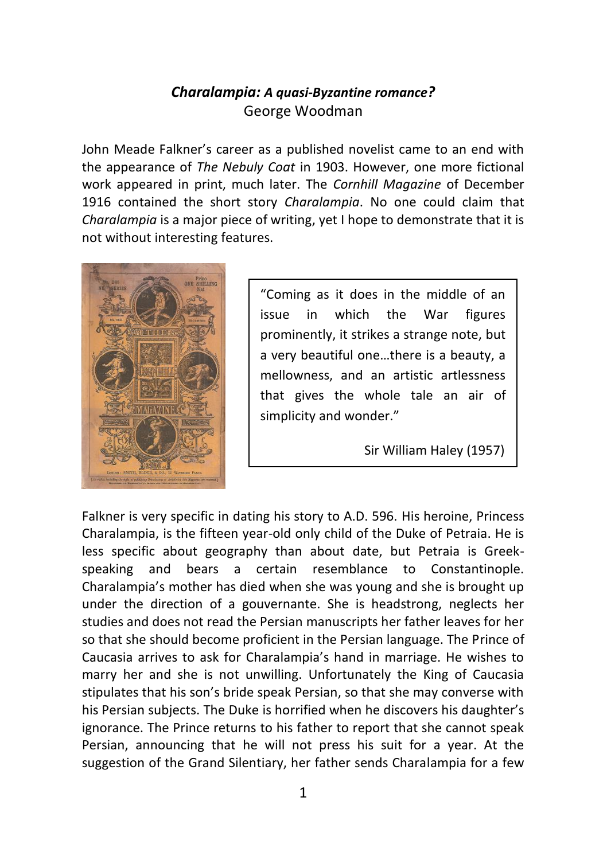## *Charalampia: A quasi-Byzantine romance?* George Woodman

John Meade Falkner's career as a published novelist came to an end with the appearance of *The Nebuly Coat* in 1903. However, one more fictional work appeared in print, much later. The *Cornhill Magazine* of December 1916 contained the short story *Charalampia*. No one could claim that *Charalampia* is a major piece of writing, yet I hope to demonstrate that it is not without interesting features.



"Coming as it does in the middle of an issue in which the War figures prominently, it strikes a strange note, but a very beautiful one…there is a beauty, a mellowness, and an artistic artlessness that gives the whole tale an air of simplicity and wonder."

Sir William Haley (1957)

Falkner is very specific in dating his story to A.D. 596. His heroine, Princess Charalampia, is the fifteen year-old only child of the Duke of Petraia. He is less specific about geography than about date, but Petraia is Greekspeaking and bears a certain resemblance to Constantinople. Charalampia's mother has died when she was young and she is brought up under the direction of a gouvernante. She is headstrong, neglects her studies and does not read the Persian manuscripts her father leaves for her so that she should become proficient in the Persian language. The Prince of Caucasia arrives to ask for Charalampia's hand in marriage. He wishes to marry her and she is not unwilling. Unfortunately the King of Caucasia stipulates that his son's bride speak Persian, so that she may converse with his Persian subjects. The Duke is horrified when he discovers his daughter's ignorance. The Prince returns to his father to report that she cannot speak Persian, announcing that he will not press his suit for a year. At the suggestion of the Grand Silentiary, her father sends Charalampia for a few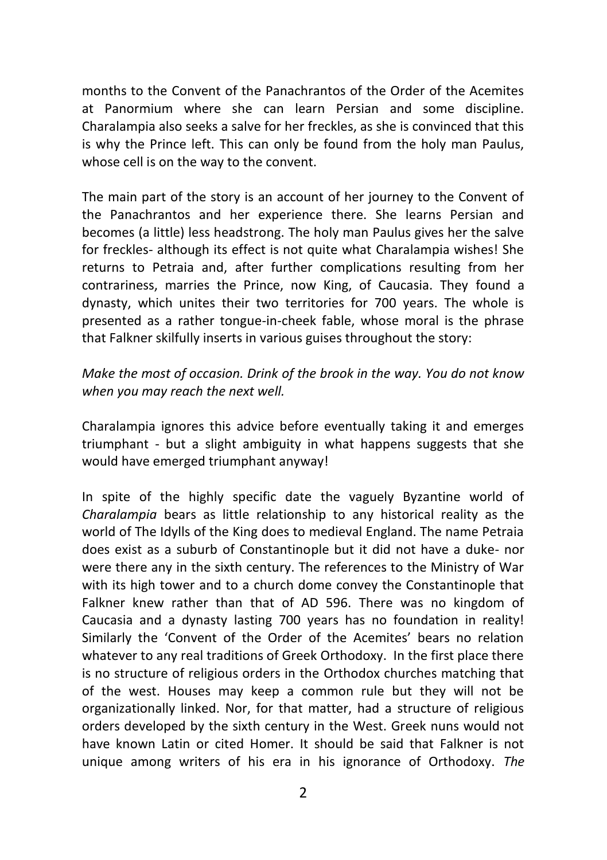months to the Convent of the Panachrantos of the Order of the Acemites at Panormium where she can learn Persian and some discipline. Charalampia also seeks a salve for her freckles, as she is convinced that this is why the Prince left. This can only be found from the holy man Paulus, whose cell is on the way to the convent.

The main part of the story is an account of her journey to the Convent of the Panachrantos and her experience there. She learns Persian and becomes (a little) less headstrong. The holy man Paulus gives her the salve for freckles- although its effect is not quite what Charalampia wishes! She returns to Petraia and, after further complications resulting from her contrariness, marries the Prince, now King, of Caucasia. They found a dynasty, which unites their two territories for 700 years. The whole is presented as a rather tongue-in-cheek fable, whose moral is the phrase that Falkner skilfully inserts in various guises throughout the story:

## *Make the most of occasion. Drink of the brook in the way. You do not know when you may reach the next well.*

Charalampia ignores this advice before eventually taking it and emerges triumphant - but a slight ambiguity in what happens suggests that she would have emerged triumphant anyway!

In spite of the highly specific date the vaguely Byzantine world of *Charalampia* bears as little relationship to any historical reality as the world of The Idylls of the King does to medieval England. The name Petraia does exist as a suburb of Constantinople but it did not have a duke- nor were there any in the sixth century. The references to the Ministry of War with its high tower and to a church dome convey the Constantinople that Falkner knew rather than that of AD 596. There was no kingdom of Caucasia and a dynasty lasting 700 years has no foundation in reality! Similarly the 'Convent of the Order of the Acemites' bears no relation whatever to any real traditions of Greek Orthodoxy. In the first place there is no structure of religious orders in the Orthodox churches matching that of the west. Houses may keep a common rule but they will not be organizationally linked. Nor, for that matter, had a structure of religious orders developed by the sixth century in the West. Greek nuns would not have known Latin or cited Homer. It should be said that Falkner is not unique among writers of his era in his ignorance of Orthodoxy. *The*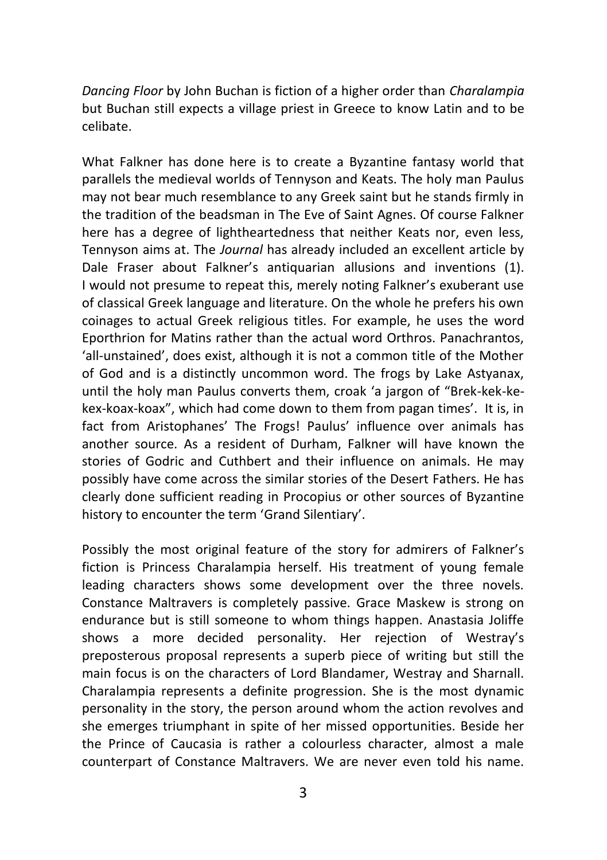*Dancing Floor* by John Buchan is fiction of a higher order than *Charalampia*  but Buchan still expects a village priest in Greece to know Latin and to be celibate.

What Falkner has done here is to create a Byzantine fantasy world that parallels the medieval worlds of Tennyson and Keats. The holy man Paulus may not bear much resemblance to any Greek saint but he stands firmly in the tradition of the beadsman in The Eve of Saint Agnes. Of course Falkner here has a degree of lightheartedness that neither Keats nor, even less, Tennyson aims at. The *Journal* has already included an excellent article by Dale Fraser about Falkner's antiquarian allusions and inventions (1). I would not presume to repeat this, merely noting Falkner's exuberant use of classical Greek language and literature. On the whole he prefers his own coinages to actual Greek religious titles. For example, he uses the word Eporthrion for Matins rather than the actual word Orthros. Panachrantos, 'all-unstained', does exist, although it is not a common title of the Mother of God and is a distinctly uncommon word. The frogs by Lake Astyanax, until the holy man Paulus converts them, croak 'a jargon of "Brek-kek-kekex-koax-koax", which had come down to them from pagan times'. It is, in fact from Aristophanes' The Frogs! Paulus' influence over animals has another source. As a resident of Durham, Falkner will have known the stories of Godric and Cuthbert and their influence on animals. He may possibly have come across the similar stories of the Desert Fathers. He has clearly done sufficient reading in Procopius or other sources of Byzantine history to encounter the term 'Grand Silentiary'.

Possibly the most original feature of the story for admirers of Falkner's fiction is Princess Charalampia herself. His treatment of young female leading characters shows some development over the three novels. Constance Maltravers is completely passive. Grace Maskew is strong on endurance but is still someone to whom things happen. Anastasia Joliffe shows a more decided personality. Her rejection of Westray's preposterous proposal represents a superb piece of writing but still the main focus is on the characters of Lord Blandamer, Westray and Sharnall. Charalampia represents a definite progression. She is the most dynamic personality in the story, the person around whom the action revolves and she emerges triumphant in spite of her missed opportunities. Beside her the Prince of Caucasia is rather a colourless character, almost a male counterpart of Constance Maltravers. We are never even told his name.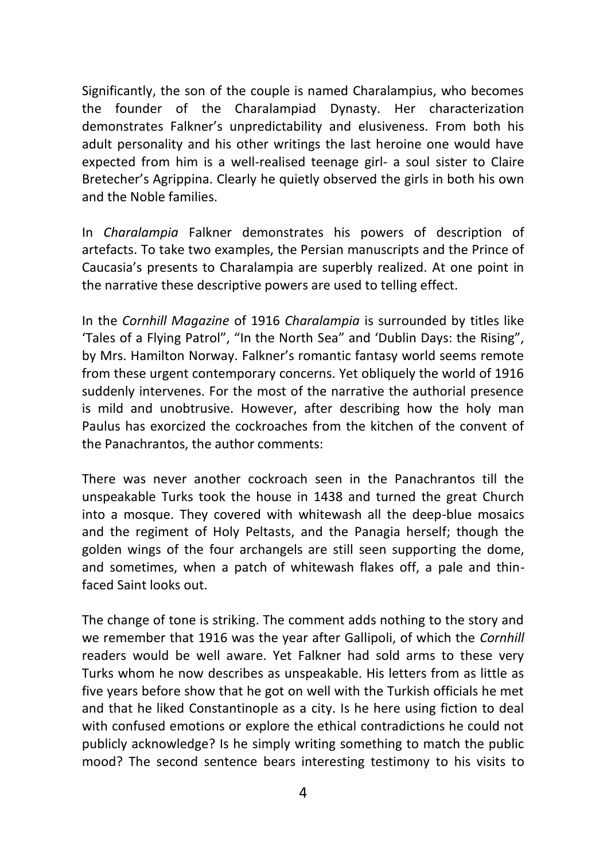Significantly, the son of the couple is named Charalampius, who becomes the founder of the Charalampiad Dynasty. Her characterization demonstrates Falkner's unpredictability and elusiveness. From both his adult personality and his other writings the last heroine one would have expected from him is a well-realised teenage girl- a soul sister to Claire Bretecher's Agrippina. Clearly he quietly observed the girls in both his own and the Noble families.

In *Charalampia* Falkner demonstrates his powers of description of artefacts. To take two examples, the Persian manuscripts and the Prince of Caucasia's presents to Charalampia are superbly realized. At one point in the narrative these descriptive powers are used to telling effect.

In the *Cornhill Magazine* of 1916 *Charalampia* is surrounded by titles like 'Tales of a Flying Patrol", "In the North Sea" and 'Dublin Days: the Rising", by Mrs. Hamilton Norway. Falkner's romantic fantasy world seems remote from these urgent contemporary concerns. Yet obliquely the world of 1916 suddenly intervenes. For the most of the narrative the authorial presence is mild and unobtrusive. However, after describing how the holy man Paulus has exorcized the cockroaches from the kitchen of the convent of the Panachrantos, the author comments:

There was never another cockroach seen in the Panachrantos till the unspeakable Turks took the house in 1438 and turned the great Church into a mosque. They covered with whitewash all the deep-blue mosaics and the regiment of Holy Peltasts, and the Panagia herself; though the golden wings of the four archangels are still seen supporting the dome, and sometimes, when a patch of whitewash flakes off, a pale and thinfaced Saint looks out.

The change of tone is striking. The comment adds nothing to the story and we remember that 1916 was the year after Gallipoli, of which the *Cornhill* readers would be well aware. Yet Falkner had sold arms to these very Turks whom he now describes as unspeakable. His letters from as little as five years before show that he got on well with the Turkish officials he met and that he liked Constantinople as a city. Is he here using fiction to deal with confused emotions or explore the ethical contradictions he could not publicly acknowledge? Is he simply writing something to match the public mood? The second sentence bears interesting testimony to his visits to